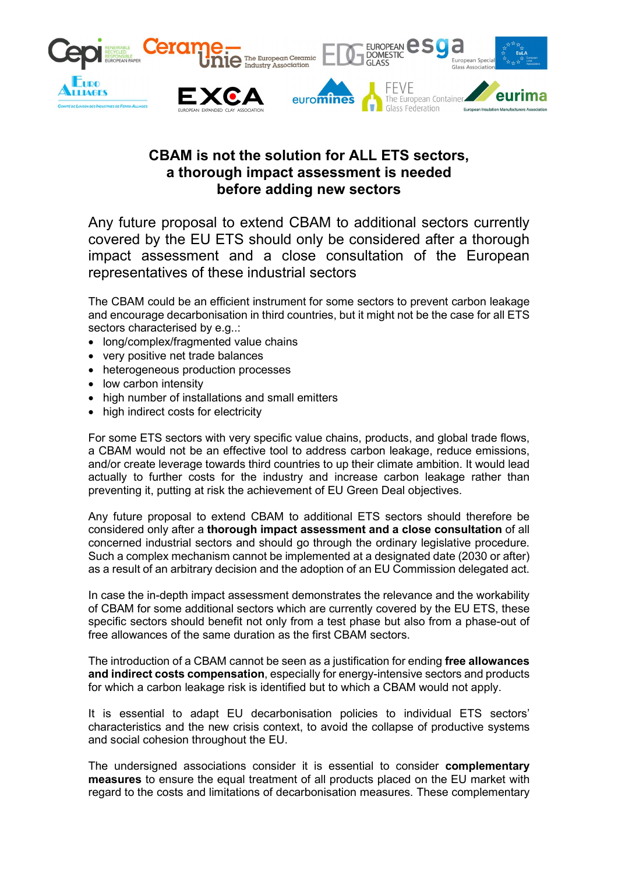

# CBAM is not the solution for ALL ETS sectors, a thorough impact assessment is needed before adding new sectors

Any future proposal to extend CBAM to additional sectors currently covered by the EU ETS should only be considered after a thorough impact assessment and a close consultation of the European representatives of these industrial sectors

The CBAM could be an efficient instrument for some sectors to prevent carbon leakage and encourage decarbonisation in third countries, but it might not be the case for all ETS sectors characterised by e.g..:

- long/complex/fragmented value chains
- very positive net trade balances
- heterogeneous production processes
- low carbon intensity
- high number of installations and small emitters
- high indirect costs for electricity

For some ETS sectors with very specific value chains, products, and global trade flows, a CBAM would not be an effective tool to address carbon leakage, reduce emissions, and/or create leverage towards third countries to up their climate ambition. It would lead actually to further costs for the industry and increase carbon leakage rather than preventing it, putting at risk the achievement of EU Green Deal objectives.

Any future proposal to extend CBAM to additional ETS sectors should therefore be considered only after a thorough impact assessment and a close consultation of all concerned industrial sectors and should go through the ordinary legislative procedure. Such a complex mechanism cannot be implemented at a designated date (2030 or after) as a result of an arbitrary decision and the adoption of an EU Commission delegated act.

In case the in-depth impact assessment demonstrates the relevance and the workability of CBAM for some additional sectors which are currently covered by the EU ETS, these specific sectors should benefit not only from a test phase but also from a phase-out of free allowances of the same duration as the first CBAM sectors.

The introduction of a CBAM cannot be seen as a justification for ending free allowances and indirect costs compensation, especially for energy-intensive sectors and products for which a carbon leakage risk is identified but to which a CBAM would not apply.

It is essential to adapt EU decarbonisation policies to individual ETS sectors' characteristics and the new crisis context, to avoid the collapse of productive systems and social cohesion throughout the EU.

The undersigned associations consider it is essential to consider complementary measures to ensure the equal treatment of all products placed on the EU market with regard to the costs and limitations of decarbonisation measures. These complementary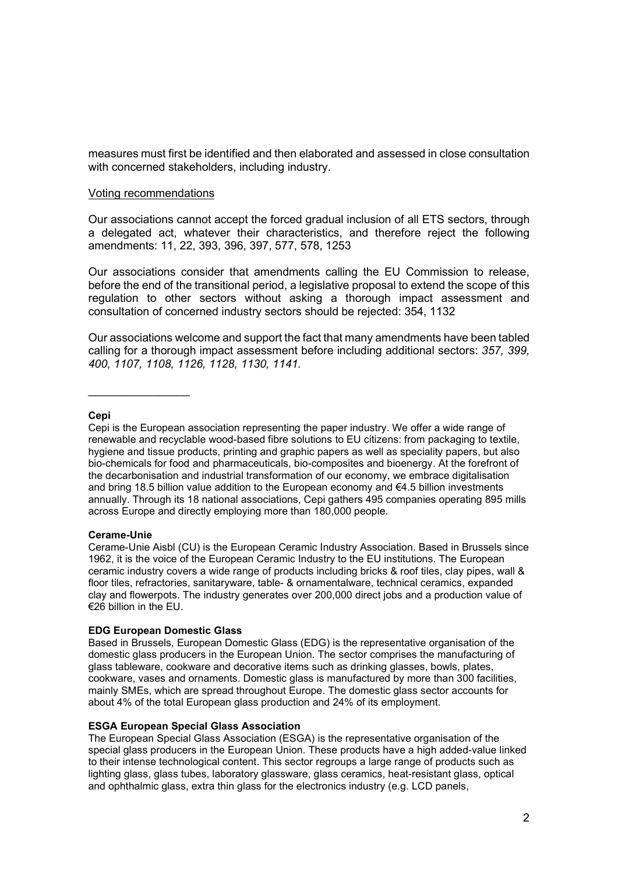measures must first be identified and then elaborated and assessed in close consultation with concerned stakeholders, including industry.

## Voting recommendations

Our associations cannot accept the forced gradual inclusion of all ETS sectors, through a delegated act, whatever their characteristics, and therefore reject the following amendments: 11, 22, 393, 396, 397, 577, 578, 1253

Our associations consider that amendments calling the EU Commission to release, before the end of the transitional period, a legislative proposal to extend the scope of this regulation to other sectors without asking a thorough impact assessment and consultation of concerned industry sectors should be rejected: 354, 1132

Our associations welcome and support the fact that many amendments have been tabled calling for a thorough impact assessment before including additional sectors: 357, 399, 400, 1107, 1108, 1126, 1128, 1130, 1141.

## Cepi

Cepi is the European association representing the paper industry. We offer a wide range of renewable and recyclable wood-based fibre solutions to EU citizens: from packaging to textile, hygiene and tissue products, printing and graphic papers as well as speciality papers, but also bio-chemicals for food and pharmaceuticals, bio-composites and bioenergy. At the forefront of the decarbonisation and industrial transformation of our economy, we embrace digitalisation and bring 18.5 billion value addition to the European economy and €4.5 billion investments annually. Through its 18 national associations, Cepi gathers 495 companies operating 895 mills across Europe and directly employing more than 180,000 people.

# Cerame-Unie

Cerame-Unie Aisbl (CU) is the European Ceramic Industry Association. Based in Brussels since 1962, it is the voice of the European Ceramic Industry to the EU institutions. The European ceramic industry covers a wide range of products including bricks & roof tiles, clay pipes, wall & floor tiles, refractories, sanitaryware, table- & ornamentalware, technical ceramics, expanded clay and flowerpots. The industry generates over 200,000 direct jobs and a production value of €26 billion in the EU.

# EDG European Domestic Glass

Based in Brussels, European Domestic Glass (EDG) is the representative organisation of the domestic glass producers in the European Union. The sector comprises the manufacturing of glass tableware, cookware and decorative items such as drinking glasses, bowls, plates, cookware, vases and ornaments. Domestic glass is manufactured by more than 300 facilities, mainly SMEs, which are spread throughout Europe. The domestic glass sector accounts for about 4% of the total European glass production and 24% of its employment.

## ESGA European Special Glass Association

The European Special Glass Association (ESGA) is the representative organisation of the special glass producers in the European Union. These products have a high added-value linked to their intense technological content. This sector regroups a large range of products such as lighting glass, glass tubes, laboratory glassware, glass ceramics, heat-resistant glass, optical and ophthalmic glass, extra thin glass for the electronics industry (e.g. LCD panels,